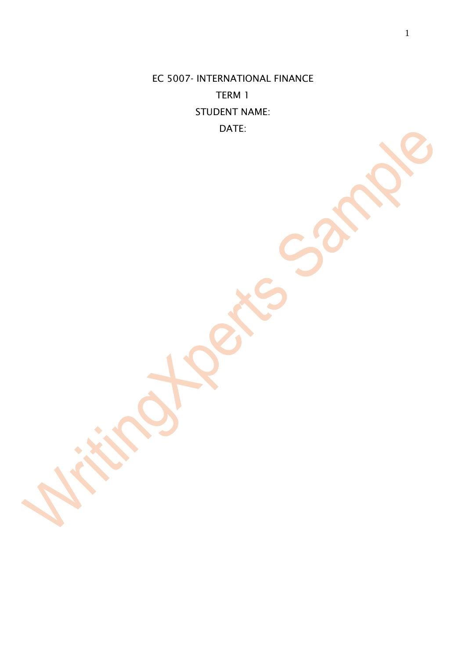EC 5007- INTERNATIONAL FINANCE TERM 1 STUDENT NAME: DATE: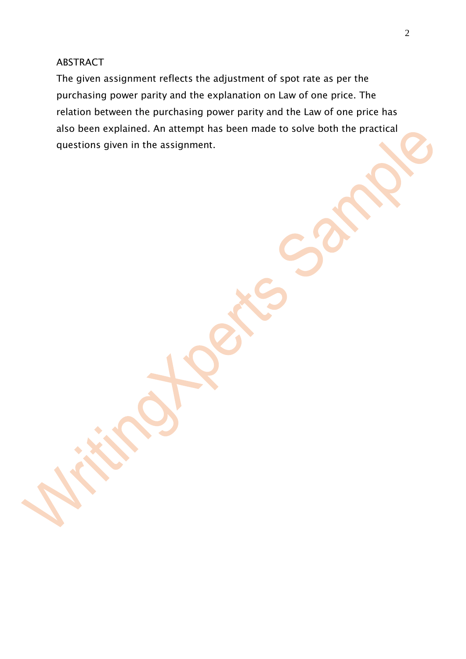### ABSTRACT

The given assignment reflects the adjustment of spot rate as per the purchasing power parity and the explanation on Law of one price. The relation between the purchasing power parity and the Law of one price has also been explained. An attempt has been made to solve both the practical questions given in the assignment.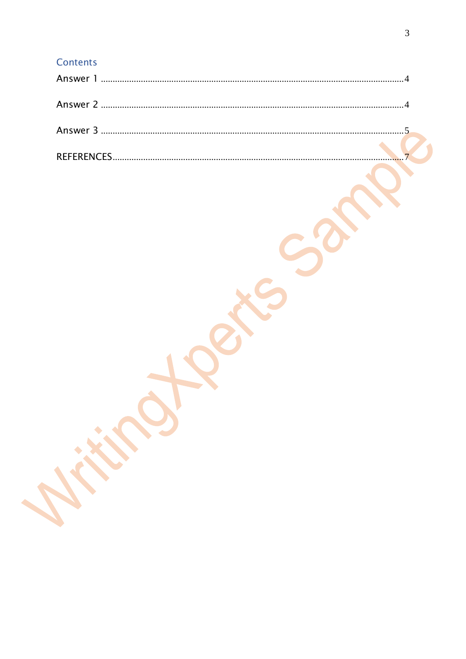# Contents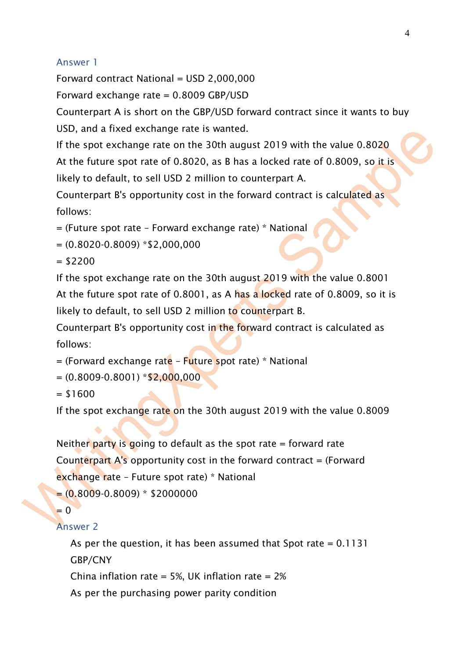# <span id="page-3-0"></span>Answer 1

<span id="page-3-1"></span>Forward contract National = USD 2,000,000 Forward exchange rate = 0.8009 GBP/USD

Counterpart A is short on the GBP/USD forward contract since it wants to buy USD, and a fixed exchange rate is wanted.

If the spot exchange rate on the 30th august 2019 with the value 0.8020 At the future spot rate of 0.8020, as B has a locked rate of 0.8009, so it is likely to default, to sell USD 2 million to counterpart A.

Counterpart B's opportunity cost in the forward contract is calculated as follows:

= (Future spot rate – Forward exchange rate) \* National

```
=(0.8020-0.8009) *$2,000,000
```
 $= $2200$ 

If the spot exchange rate on the 30th august 2019 with the value 0.8001 At the future spot rate of 0.8001, as A has a locked rate of 0.8009, so it is likely to default, to sell USD 2 million to counterpart B.

Counterpart B's opportunity cost in the forward contract is calculated as follows:

 $=$  (Forward exchange rate – Future spot rate)  $*$  National

 $=(0.8009-0.8001)*$ \$2,000,000

 $= $1600$ 

If the spot exchange rate on the 30th august 2019 with the value 0.8009

```
Neither party is going to default as the spot rate = forward rate
Counterpart A's opportunity cost in the forward contract = (Forward 
exchange rate – Future spot rate) * National
=(0.8009-0.8009)*$2000000
```

```
= 0
```
# Answer 2

As per the question, it has been assumed that Spot rate  $= 0.1131$ GBP/CNY China inflation rate = 5%, UK inflation rate =  $2\%$ As per the purchasing power parity condition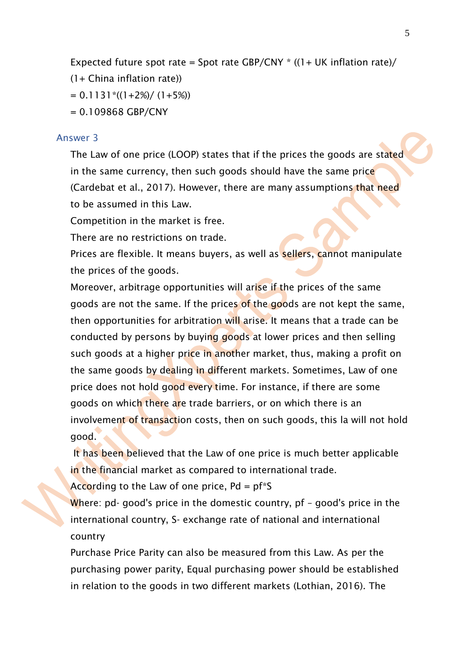```
Expected future spot rate = Spot rate GBP/CNY *(1 + UK inflation rate)/
```
- (1+ China inflation rate))
- $= 0.1131$ <sup>\*</sup>((1+2%)/ (1+5%))
- $= 0.109868$  GBP/CNY

# <span id="page-4-0"></span>Answer 3

The Law of one price (LOOP) states that if the prices the goods are stated in the same currency, then such goods should have the same price (Cardebat et al., 2017). However, there are many assumptions that need to be assumed in this Law.

Competition in the market is free.

There are no restrictions on trade.

Prices are flexible. It means buyers, as well as sellers, cannot manipulate the prices of the goods.

Moreover, arbitrage opportunities will arise if the prices of the same goods are not the same. If the prices of the goods are not kept the same, then opportunities for arbitration will arise. It means that a trade can be conducted by persons by buying goods at lower prices and then selling such goods at a higher price in another market, thus, making a profit on the same goods by dealing in different markets. Sometimes, Law of one price does not hold good every time. For instance, if there are some goods on which there are trade barriers, or on which there is an involvement of transaction costs, then on such goods, this la will not hold good.

It has been believed that the Law of one price is much better applicable in the financial market as compared to international trade.

According to the Law of one price,  $Pd = pf * S$ 

Where: pd- good's price in the domestic country, pf - good's price in the international country, S- exchange rate of national and international country

Purchase Price Parity can also be measured from this Law. As per the purchasing power parity, Equal purchasing power should be established in relation to the goods in two different markets (Lothian, 2016). The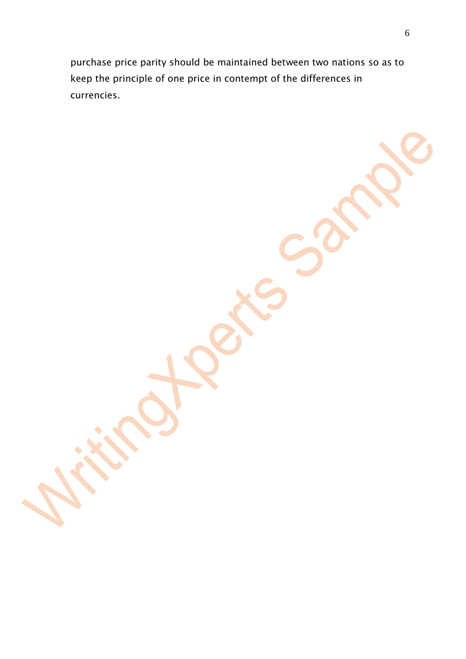purchase price parity should be maintained between two nations so as to keep the principle of one price in contempt of the differences in currencies.